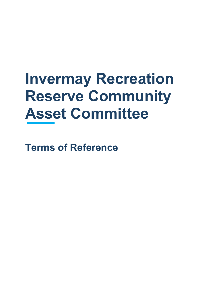# **Invermay Recreation Reserve Community Asset Committee**

**Terms of Reference**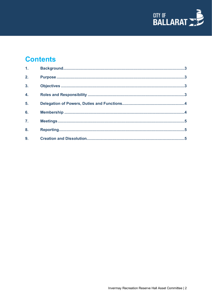

# **Contents**

| 1.               |  |
|------------------|--|
| 2.               |  |
| $\overline{3}$ . |  |
| $\overline{4}$ . |  |
| 5.               |  |
| 6.               |  |
| $\overline{z}$ . |  |
| 8.               |  |
| 9.               |  |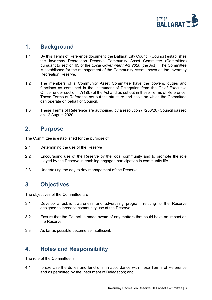

#### <span id="page-2-0"></span>**1. Background**

- 1.1. By this Terms of Reference document, the Ballarat City Council (Council) establishes the Invermay Recreation Reserve Community Asset Committee (Committee) pursuant to section 65 of the *Local Government Act 2020* (the Act). The Committee is established for the management of the Community Asset known as the Invermay Recreation Reserve.
- 1.2. The members of a Community Asset Committee have the powers, duties and functions as contained in the Instrument of Delegation from the Chief Executive Officer under section 47(1)(b) of the Act and as set out in these Terms of Reference. These Terms of Reference set out the structure and basis on which the Committee can operate on behalf of Council.
- 1.3. These Terms of Reference are authorised by a resolution (R203/20) Council passed on 12 August 2020.

#### <span id="page-2-1"></span>**2. Purpose**

The Committee is established for the purpose of:

- 2.1 Determining the use of the Reserve
- 2.2 Encouraging use of the Reserve by the local community and to promote the role played by the Reserve in enabling engaged participation in community life.
- 2.3 Undertaking the day to day management of the Reserve

## <span id="page-2-2"></span>**3. Objectives**

The objectives of the Committee are:

- 3.1 Develop a public awareness and advertising program relating to the Reserve designed to increase community use of the Reserve.
- 3.2 Ensure that the Council is made aware of any matters that could have an impact on the Reserve.
- 3.3 As far as possible become self-sufficient.

# <span id="page-2-3"></span>**4. Roles and Responsibility**

The role of the Committee is:

4.1 to exercise the duties and functions, in accordance with these Terms of Reference and as permitted by the Instrument of Delegation; and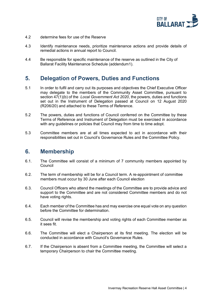

- 4.2 determine fees for use of the Reserve
- 4.3 Identify maintenance needs, prioritize maintenance actions and provide details of remedial actions in annual report to Council.
- 4.4 Be responsible for specific maintenance of the reserve as outlined in the City of Ballarat Facility Maintenance Schedule (addendum1).

## <span id="page-3-0"></span>**5. Delegation of Powers, Duties and Functions**

- 5.1 In order to fulfil and carry out its purposes and objectives the Chief Executive Officer may delegate to the members of the Community Asset Committee, pursuant to section 47(1)(b) of the *Local Government Act 2020*, the powers, duties and functions set out in the Instrument of Delegation passed at Council on 12 August 2020 (R206/20) and attached to these Terms of Reference.
- 5.2 The powers, duties and functions of Council conferred on the Committee by these Terms of Reference and Instrument of Delegation must be exercised in accordance with any quidelines or policies that Council may from time to time adopt.
- 5.3 Committee members are at all times expected to act in accordance with their responsibilities set out in Council's Governance Rules and the Committee Policy.

#### <span id="page-3-1"></span>**6. Membership**

- 6.1. The Committee will consist of a minimum of 7 community members appointed by Council
- 6.2. The term of membership will be for a Council term. A re-appointment of committee members must occur by 30 June after each Council election
- 6.3. Council Officers who attend the meetings of the Committee are to provide advice and support to the Committee and are not considered Committee members and do not have voting rights.
- 6.4. Each member of the Committee has and may exercise one equal vote on any question before the Committee for determination.
- 6.5. Council will revise the membership and voting rights of each Committee member as it sees fit.
- 6.6. The Committee will elect a Chairperson at its first meeting. The election will be conducted in accordance with Council's Governance Rules.
- 6.7. If the Chairperson is absent from a Committee meeting, the Committee will select a temporary Chairperson to chair the Committee meeting.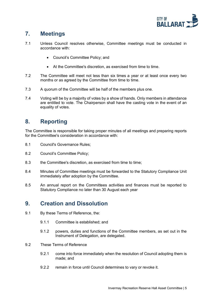

# <span id="page-4-0"></span>**7. Meetings**

- 7.1 Unless Council resolves otherwise, Committee meetings must be conducted in accordance with:
	- Council's Committee Policy; and
	- At the Committee's discretion, as exercised from time to time.
- 7.2 The Committee will meet not less than six times a year or at least once every two months or as agreed by the Committee from time to time.
- 7.3 A quorum of the Committee will be half of the members plus one.
- 7.4 Voting will be by a majority of votes by a show of hands. Only members in attendance are entitled to vote. The Chairperson shall have the casting vote in the event of an equality of votes.

## <span id="page-4-1"></span>**8. Reporting**

The Committee is responsible for taking proper minutes of all meetings and preparing reports for the Committee's consideration in accordance with:

- 8.1 Council's Governance Rules;
- 8.2 Council's Committee Policy;
- 8.3 the Committee's discretion, as exercised from time to time;
- 8.4 Minutes of Committee meetings must be forwarded to the Statutory Compliance Unit immediately after adoption by the Committee.
- 8.5 An annual report on the Committees activities and finances must be reported to Statutory Compliance no later than 30 August each year

#### <span id="page-4-2"></span>**9. Creation and Dissolution**

- 9.1 By these Terms of Reference, the:
	- 9.1.1 Committee is established; and
	- 9.1.2 powers, duties and functions of the Committee members, as set out in the Instrument of Delegation, are delegated.
- 9.2 These Terms of Reference
	- 9.2.1 come into force immediately when the resolution of Council adopting them is made; and
	- 9.2.2 remain in force until Council determines to vary or revoke it.